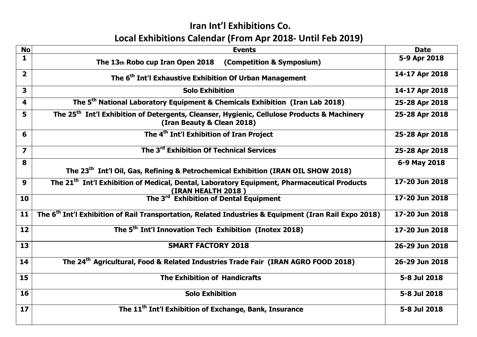## Iran Int'l Exhibitions Co. Local Exhibitions Calendar (From Apr 2018- Until Feb 2019)

| <b>No</b>               | <b>Events</b>                                                                                                                         | <b>Date</b>    |
|-------------------------|---------------------------------------------------------------------------------------------------------------------------------------|----------------|
| $\mathbf{1}$            | The 13th Robo cup Iran Open 2018 (Competition & Symposium)                                                                            | 5-9 Apr 2018   |
| $\overline{\mathbf{2}}$ | The 6 <sup>th</sup> Int'l Exhaustive Exhibition Of Urban Management                                                                   | 14-17 Apr 2018 |
| $\overline{\mathbf{3}}$ | <b>Solo Exhibition</b>                                                                                                                | 14-17 Apr 2018 |
| $\overline{\mathbf{4}}$ | The 5 <sup>th</sup> National Laboratory Equipment & Chemicals Exhibition (Iran Lab 2018)                                              | 25-28 Apr 2018 |
| 5                       | The 25 <sup>th</sup> Int'l Exhibition of Detergents, Cleanser, Hygienic, Cellulose Products & Machinery<br>(Iran Beauty & Clean 2018) | 25-28 Apr 2018 |
| 6                       | The 4 <sup>th</sup> Int'l Exhibition of Iran Project                                                                                  | 25-28 Apr 2018 |
| $\overline{\mathbf{z}}$ | The 3 <sup>rd</sup> Exhibition Of Technical Services                                                                                  | 25-28 Apr 2018 |
| 8                       | The 23 <sup>th</sup> Int'l Oil, Gas, Refining & Petrochemical Exhibition (IRAN OIL SHOW 2018)                                         | 6-9 May 2018   |
| 9                       | The 21 <sup>th</sup> Int'l Exhibition of Medical, Dental, Laboratory Equipment, Pharmaceutical Products                               | 17-20 Jun 2018 |
| 10                      | <b>EXAMPLE (IRAN HEALTH 2018)</b><br>The 3 <sup>rd</sup> Exhibition of Dental Equipment                                               | 17-20 Jun 2018 |
| 11                      | The 6 <sup>th</sup> Int'l Exhibition of Rail Transportation, Related Industries & Equipment (Iran Rail Expo 2018)                     | 17-20 Jun 2018 |
| 12                      | The 5 <sup>th</sup> Int'l Innovation Tech Exhibition (Inotex 2018)                                                                    | 17-20 Jun 2018 |
| 13                      | <b>SMART FACTORY 2018</b>                                                                                                             | 26-29 Jun 2018 |
| 14                      | The 24 <sup>th</sup> Agricultural, Food & Related Industries Trade Fair (IRAN AGRO FOOD 2018)                                         | 26-29 Jun 2018 |
| 15                      | <b>The Exhibition of Handicrafts</b>                                                                                                  | 5-8 Jul 2018   |
| 16                      | <b>Solo Exhibition</b>                                                                                                                | 5-8 Jul 2018   |
| 17                      | The 11 <sup>th</sup> Int'l Exhibition of Exchange, Bank, Insurance                                                                    | 5-8 Jul 2018   |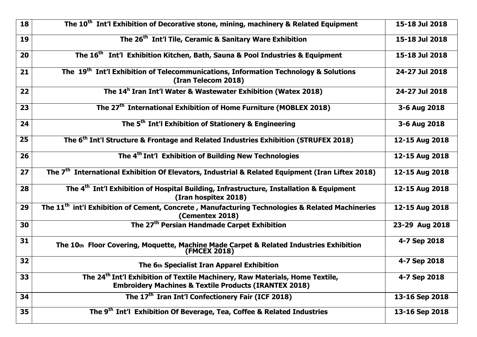| 18              | The 10 <sup>th</sup> Int'l Exhibition of Decorative stone, mining, machinery & Related Equipment                                                             | 15-18 Jul 2018 |
|-----------------|--------------------------------------------------------------------------------------------------------------------------------------------------------------|----------------|
| 19              | The 26 <sup>th</sup> Int'l Tile, Ceramic & Sanitary Ware Exhibition                                                                                          | 15-18 Jul 2018 |
| 20              | The 16 <sup>th</sup> Int'l Exhibition Kitchen, Bath, Sauna & Pool Industries & Equipment                                                                     | 15-18 Jul 2018 |
| 21              | The 19 <sup>th</sup> Int'l Exhibition of Telecommunications, Information Technology & Solutions<br>(Iran Telecom 2018)                                       | 24-27 Jul 2018 |
| 22              | The 14 <sup>h</sup> Iran Int'l Water & Wastewater Exhibition (Watex 2018)                                                                                    | 24-27 Jul 2018 |
| 23              | The 27 <sup>th</sup> International Exhibition of Home Furniture (MOBLEX 2018)                                                                                | 3-6 Aug 2018   |
| 24              | The 5 <sup>th</sup> Int'l Exhibition of Stationery & Engineering                                                                                             | 3-6 Aug 2018   |
| $\overline{25}$ | The 6 <sup>th</sup> Int'l Structure & Frontage and Related Industries Exhibition (STRUFEX 2018)                                                              | 12-15 Aug 2018 |
| 26              | The 4 <sup>th</sup> Int'l Exhibition of Building New Technologies                                                                                            | 12-15 Aug 2018 |
| 27              | The 7 <sup>th</sup> International Exhibition Of Elevators, Industrial & Related Equipment (Iran Liftex 2018)                                                 | 12-15 Aug 2018 |
| 28              | The 4 <sup>th</sup> Int'l Exhibition of Hospital Building, Infrastructure, Installation & Equipment<br>(Iran hospitex 2018)                                  | 12-15 Aug 2018 |
| 29              | The 11 <sup>th</sup> int'l Exhibition of Cement, Concrete, Manufacturing Technologies & Related Machineries<br>(Cementex 2018)                               | 12-15 Aug 2018 |
| 30              | The 27 <sup>th</sup> Persian Handmade Carpet Exhibition                                                                                                      | 23-29 Aug 2018 |
| 31              | The 10th Floor Covering, Moquette, Machine Made Carpet & Related Industries Exhibition<br><b>(FMCEX 2018)</b>                                                | 4-7 Sep 2018   |
| 32              | The 6th Specialist Iran Apparel Exhibition                                                                                                                   | 4-7 Sep 2018   |
| 33              | The 24 <sup>th</sup> Int'l Exhibition of Textile Machinery, Raw Materials, Home Textile,<br><b>Embroidery Machines &amp; Textile Products (IRANTEX 2018)</b> | 4-7 Sep 2018   |
| 34              | The 17 <sup>th</sup> Iran Int'l Confectionery Fair (ICF 2018)                                                                                                | 13-16 Sep 2018 |
| 35              | The 9 <sup>th</sup> Int'l Exhibition Of Beverage, Tea, Coffee & Related Industries                                                                           | 13-16 Sep 2018 |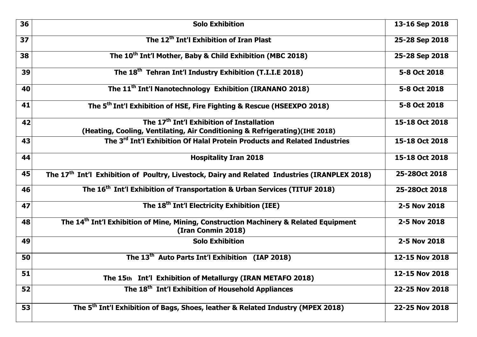| 36 | <b>Solo Exhibition</b>                                                                                                               | 13-16 Sep 2018 |
|----|--------------------------------------------------------------------------------------------------------------------------------------|----------------|
| 37 | The 12 <sup>th</sup> Int'l Exhibition of Iran Plast                                                                                  | 25-28 Sep 2018 |
| 38 | The 10 <sup>th</sup> Int'l Mother, Baby & Child Exhibition (MBC 2018)                                                                | 25-28 Sep 2018 |
| 39 | The 18 <sup>th</sup> Tehran Int'l Industry Exhibition (T.I.I.E 2018)                                                                 | 5-8 Oct 2018   |
| 40 | The 11 <sup>th</sup> Int'l Nanotechnology Exhibition (IRANANO 2018)                                                                  | 5-8 Oct 2018   |
| 41 | The 5 <sup>th</sup> Int'l Exhibition of HSE, Fire Fighting & Rescue (HSEEXPO 2018)                                                   | 5-8 Oct 2018   |
| 42 | The 17 <sup>th</sup> Int'l Exhibition of Installation<br>(Heating, Cooling, Ventilating, Air Conditioning & Refrigerating)(IHE 2018) | 15-18 Oct 2018 |
| 43 | The 3 <sup>rd</sup> Int'l Exhibition Of Halal Protein Products and Related Industries                                                | 15-18 Oct 2018 |
| 44 | <b>Hospitality Iran 2018</b>                                                                                                         | 15-18 Oct 2018 |
| 45 | The 17 <sup>th</sup> Int'l Exhibition of Poultry, Livestock, Dairy and Related Industries (IRANPLEX 2018)                            | 25-280ct 2018  |
| 46 | The 16 <sup>th</sup> Int'l Exhibition of Transportation & Urban Services (TITUF 2018)                                                | 25-280ct 2018  |
| 47 | The 18 <sup>th</sup> Int'l Electricity Exhibition (IEE)                                                                              | 2-5 Nov 2018   |
| 48 | The 14 <sup>th</sup> Int'l Exhibition of Mine, Mining, Construction Machinery & Related Equipment<br>(Iran Conmin 2018)              | 2-5 Nov 2018   |
| 49 | <b>Solo Exhibition</b>                                                                                                               | 2-5 Nov 2018   |
| 50 | The 13 <sup>th</sup> Auto Parts Int'l Exhibition (IAP 2018)                                                                          | 12-15 Nov 2018 |
| 51 | The 15th Int'l Exhibition of Metallurgy (IRAN METAFO 2018)                                                                           | 12-15 Nov 2018 |
| 52 | The 18 <sup>th</sup> Int'l Exhibition of Household Appliances                                                                        | 22-25 Nov 2018 |
| 53 | The 5 <sup>th</sup> Int'l Exhibition of Bags, Shoes, leather & Related Industry (MPEX 2018)                                          | 22-25 Nov 2018 |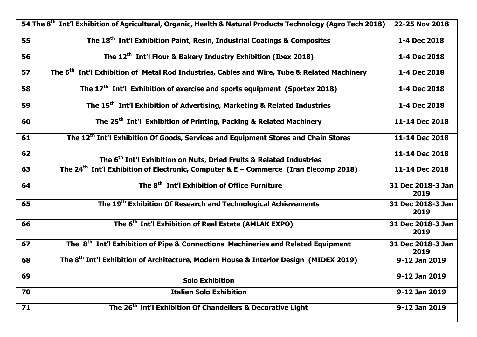|    | 54 The 8 <sup>th</sup> Int'l Exhibition of Agricultural, Organic, Health & Natural Products Technology (Agro Tech 2018) | 22-25 Nov 2018            |
|----|-------------------------------------------------------------------------------------------------------------------------|---------------------------|
| 55 | The 18 <sup>th</sup> Int'l Exhibition Paint, Resin, Industrial Coatings & Composites                                    | 1-4 Dec 2018              |
| 56 | The 12 <sup>th</sup> Int'l Flour & Bakery Industry Exhibition (Ibex 2018)                                               | 1-4 Dec 2018              |
| 57 | The 6 <sup>th</sup> Int'l Exhibition of Metal Rod Industries, Cables and Wire, Tube & Related Machinery                 | 1-4 Dec 2018              |
| 58 | The $17th$ Int'l Exhibition of exercise and sports equipment (Sportex 2018)                                             | 1-4 Dec 2018              |
| 59 | The 15 <sup>th</sup> Int'l Exhibition of Advertising, Marketing & Related Industries                                    | 1-4 Dec 2018              |
| 60 | The 25 <sup>th</sup> Int'l Exhibition of Printing, Packing & Related Machinery                                          | 11-14 Dec 2018            |
| 61 | The 12 <sup>th</sup> Int'l Exhibition Of Goods, Services and Equipment Stores and Chain Stores                          | 11-14 Dec 2018            |
| 62 | The 6 <sup>th</sup> Int'l Exhibition on Nuts, Dried Fruits & Related Industries                                         | 11-14 Dec 2018            |
| 63 | The 24 <sup>th</sup> Int'l Exhibition of Electronic, Computer & E – Commerce (Iran Elecomp 2018)                        | 11-14 Dec 2018            |
| 64 | The 8 <sup>th</sup> Int'l Exhibition of Office Furniture                                                                | 31 Dec 2018-3 Jan<br>2019 |
| 65 | The 19 <sup>th</sup> Exhibition Of Research and Technological Achievements                                              | 31 Dec 2018-3 Jan<br>2019 |
| 66 | The 6 <sup>th</sup> Int'l Exhibition of Real Estate (AMLAK EXPO)                                                        | 31 Dec 2018-3 Jan<br>2019 |
| 67 | The 8 <sup>th</sup> Int'l Exhibition of Pipe & Connections Machineries and Related Equipment                            | 31 Dec 2018-3 Jan<br>2019 |
| 68 | The 8 <sup>th</sup> Int'l Exhibition of Architecture, Modern House & Interior Design (MIDEX 2019)                       | 9-12 Jan 2019             |
| 69 | <b>Solo Exhibition</b>                                                                                                  | 9-12 Jan 2019             |
| 70 | <b>Italian Solo Exhibition</b>                                                                                          | 9-12 Jan 2019             |
| 71 | The 26 <sup>th</sup> int'l Exhibition Of Chandeliers & Decorative Light                                                 | 9-12 Jan 2019             |